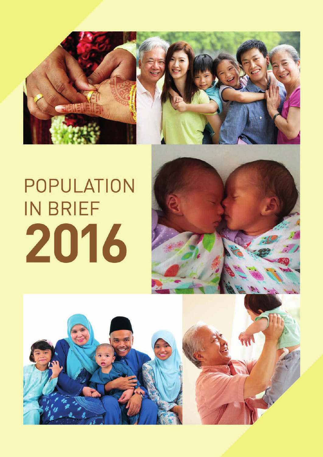

# POPULATION **IN BRIEF** 2016



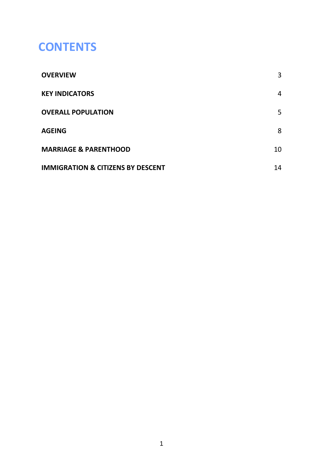# **CONTENTS**

| <b>OVERVIEW</b>                              | 3  |
|----------------------------------------------|----|
| <b>KEY INDICATORS</b>                        | 4  |
| <b>OVERALL POPULATION</b>                    | 5  |
| <b>AGEING</b>                                | 8  |
| <b>MARRIAGE &amp; PARENTHOOD</b>             | 10 |
| <b>IMMIGRATION &amp; CITIZENS BY DESCENT</b> | 14 |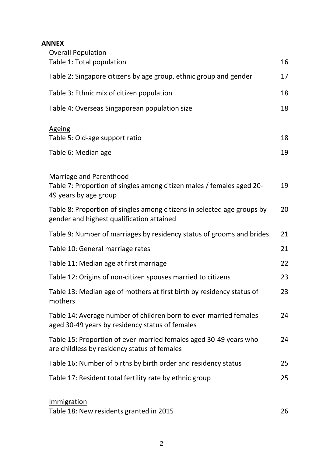#### **ANNEX**

| <b>Overall Population</b>                                                                                            |    |
|----------------------------------------------------------------------------------------------------------------------|----|
| Table 1: Total population                                                                                            | 16 |
| Table 2: Singapore citizens by age group, ethnic group and gender                                                    | 17 |
| Table 3: Ethnic mix of citizen population                                                                            | 18 |
| Table 4: Overseas Singaporean population size                                                                        | 18 |
| <b>Ageing</b>                                                                                                        |    |
| Table 5: Old-age support ratio                                                                                       | 18 |
| Table 6: Median age                                                                                                  | 19 |
| <b>Marriage and Parenthood</b>                                                                                       |    |
| Table 7: Proportion of singles among citizen males / females aged 20-<br>49 years by age group                       | 19 |
| Table 8: Proportion of singles among citizens in selected age groups by<br>gender and highest qualification attained | 20 |
| Table 9: Number of marriages by residency status of grooms and brides                                                | 21 |
| Table 10: General marriage rates                                                                                     | 21 |
| Table 11: Median age at first marriage                                                                               | 22 |
| Table 12: Origins of non-citizen spouses married to citizens                                                         | 23 |
| Table 13: Median age of mothers at first birth by residency status of<br>mothers                                     | 23 |
| Table 14: Average number of children born to ever-married females<br>aged 30-49 years by residency status of females | 24 |
| Table 15: Proportion of ever-married females aged 30-49 years who<br>are childless by residency status of females    | 24 |
| Table 16: Number of births by birth order and residency status                                                       | 25 |
| Table 17: Resident total fertility rate by ethnic group                                                              | 25 |
| Immigration                                                                                                          |    |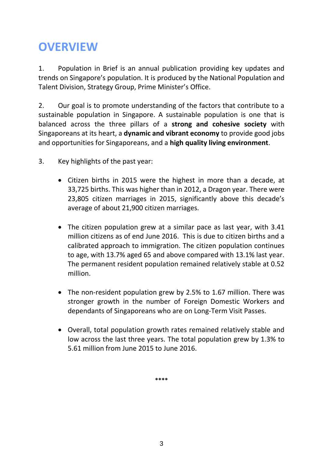# **OVERVIEW**

1. Population in Brief is an annual publication providing key updates and trends on Singapore's population. It is produced by the National Population and Talent Division, Strategy Group, Prime Minister's Office.

2. Our goal is to promote understanding of the factors that contribute to a sustainable population in Singapore. A sustainable population is one that is balanced across the three pillars of a **strong and cohesive society** with Singaporeans at its heart, a **dynamic and vibrant economy** to provide good jobs and opportunities for Singaporeans, and a **high quality living environment**.

- 3. Key highlights of the past year:
	- Citizen births in 2015 were the highest in more than a decade, at 33,725 births. This was higher than in 2012, a Dragon year. There were 23,805 citizen marriages in 2015, significantly above this decade's average of about 21,900 citizen marriages.
	- The citizen population grew at a similar pace as last year, with 3.41 million citizens as of end June 2016. This is due to citizen births and a calibrated approach to immigration. The citizen population continues to age, with 13.7% aged 65 and above compared with 13.1% last year. The permanent resident population remained relatively stable at 0.52 million.
	- The non-resident population grew by 2.5% to 1.67 million. There was stronger growth in the number of Foreign Domestic Workers and dependants of Singaporeans who are on Long-Term Visit Passes.
	- Overall, total population growth rates remained relatively stable and low across the last three years. The total population grew by 1.3% to 5.61 million from June 2015 to June 2016.

**\*\*\*\***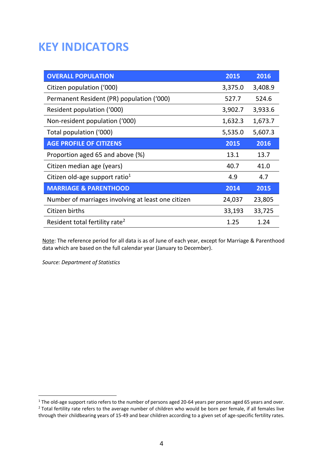# **KEY INDICATORS**

| <b>OVERALL POPULATION</b>                          | 2015    | 2016    |
|----------------------------------------------------|---------|---------|
| Citizen population ('000)                          | 3,375.0 | 3,408.9 |
| Permanent Resident (PR) population ('000)          | 527.7   | 524.6   |
| Resident population ('000)                         | 3,902.7 | 3,933.6 |
| Non-resident population ('000)                     | 1,632.3 | 1,673.7 |
| Total population ('000)                            | 5,535.0 | 5,607.3 |
| <b>AGE PROFILE OF CITIZENS</b>                     | 2015    | 2016    |
| Proportion aged 65 and above (%)                   | 13.1    | 13.7    |
| Citizen median age (years)                         | 40.7    | 41.0    |
| Citizen old-age support ratio <sup>1</sup>         | 4.9     | 4.7     |
| <b>MARRIAGE &amp; PARENTHOOD</b>                   | 2014    | 2015    |
| Number of marriages involving at least one citizen | 24,037  | 23,805  |
| Citizen births                                     | 33,193  | 33,725  |
| Resident total fertility rate <sup>2</sup>         | 1.25    | 1.24    |

Note: The reference period for all data is as of June of each year, except for Marriage & Parenthood data which are based on the full calendar year (January to December).

*Source: Department of Statistics*

 $^1$  The old-age support ratio refers to the number of persons aged 20-64 years per person aged 65 years and over. <sup>2</sup> Total fertility rate refers to the average number of children who would be born per female, if all females live through their childbearing years of 15-49 and bear children according to a given set of age-specific fertility rates.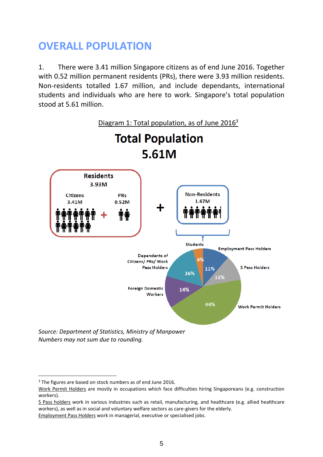# **OVERALL POPULATION**

1. There were 3.41 million Singapore citizens as of end June 2016. Together with 0.52 million permanent residents (PRs), there were 3.93 million residents. Non-residents totalled 1.67 million, and include dependants, international students and individuals who are here to work. Singapore's total population stood at 5.61 million.



*Numbers may not sum due to rounding.* 

<sup>&</sup>lt;sup>3</sup> The figures are based on stock numbers as of end June 2016.

Work Permit Holders are mostly in occupations which face difficulties hiring Singaporeans (e.g. construction workers).

S Pass holders work in various industries such as retail, manufacturing, and healthcare (e.g. allied healthcare workers), as well as in social and voluntary welfare sectors as care-givers for the elderly.

Employment Pass Holders work in managerial, executive or specialised jobs.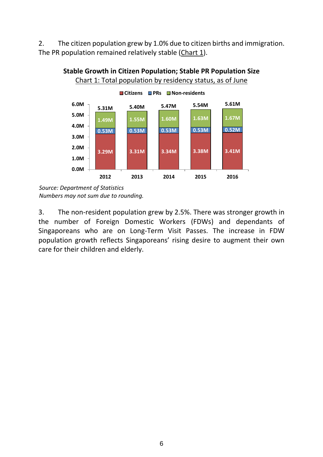2. The citizen population grew by 1.0% due to citizen births and immigration. The PR population remained relatively stable (Chart 1).



**Stable Growth in Citizen Population; Stable PR Population Size** Chart 1: Total population by residency status, as of June

*Source: Department of Statistics Numbers may not sum due to rounding.*

3. The non-resident population grew by 2.5%. There was stronger growth in the number of Foreign Domestic Workers (FDWs) and dependants of Singaporeans who are on Long-Term Visit Passes. The increase in FDW population growth reflects Singaporeans' rising desire to augment their own care for their children and elderly.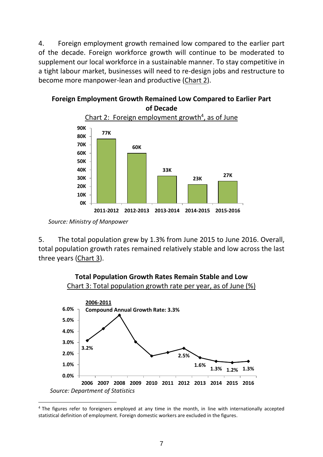4. Foreign employment growth remained low compared to the earlier part of the decade. Foreign workforce growth will continue to be moderated to supplement our local workforce in a sustainable manner. To stay competitive in a tight labour market, businesses will need to re-design jobs and restructure to become more manpower-lean and productive (Chart 2).



# **Foreign Employment Growth Remained Low Compared to Earlier Part**

5. The total population grew by 1.3% from June 2015 to June 2016. Overall, total population growth rates remained relatively stable and low across the last three years (Chart 3).



**Total Population Growth Rates Remain Stable and Low**

*Source: Ministry of Manpower*

 $\overline{a}$ <sup>4</sup> The figures refer to foreigners employed at any time in the month, in line with internationally accepted statistical definition of employment. Foreign domestic workers are excluded in the figures.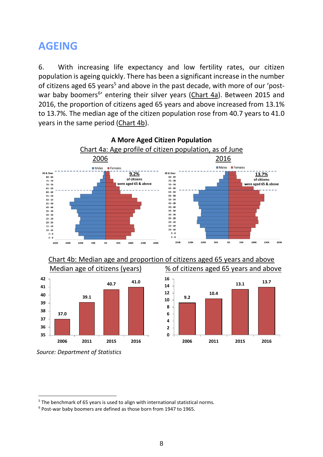### **AGEING**

6. With increasing life expectancy and low fertility rates, our citizen population is ageing quickly. There has been a significant increase in the number of citizens aged 65 years<sup>5</sup> and above in the past decade, with more of our 'postwar baby boomers<sup>6</sup>' entering their silver years (Chart 4a). Between 2015 and 2016, the proportion of citizens aged 65 years and above increased from 13.1% to 13.7%. The median age of the citizen population rose from 40.7 years to 41.0 years in the same period (Chart 4b).



**A More Aged Citizen Population**

Chart 4b: Median age and proportion of citizens aged 65 years and above



Median age of citizens (years) % of citizens aged 65 years and above



*Source: Department of Statistics*

<sup>&</sup>lt;sup>5</sup> The benchmark of 65 years is used to align with international statistical norms.

 $6$  Post-war baby boomers are defined as those born from 1947 to 1965.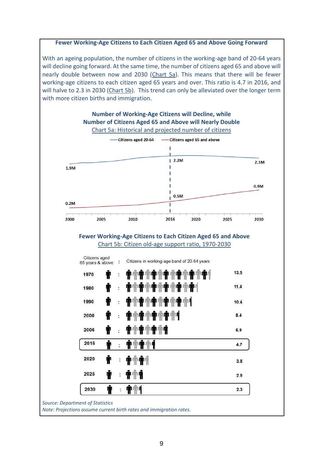#### **Fewer Working-Age Citizens to Each Citizen Aged 65 and Above Going Forward**

With an ageing population, the number of citizens in the working-age band of 20-64 years will decline going forward. At the same time, the number of citizens aged 65 and above will nearly double between now and 2030 (Chart 5a). This means that there will be fewer working-age citizens to each citizen aged 65 years and over. This ratio is 4.7 in 2016, and will halve to 2.3 in 2030 (Chart 5b). This trend can only be alleviated over the longer term with more citizen births and immigration.



*Source: Department of Statistics* 

*Note: Projections assume current birth rates and immigration rates.*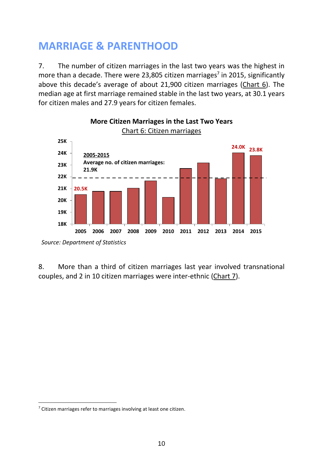# **MARRIAGE & PARENTHOOD**

7. The number of citizen marriages in the last two years was the highest in more than a decade. There were 23,805 citizen marriages<sup>7</sup> in 2015, significantly above this decade's average of about 21,900 citizen marriages (Chart 6). The median age at first marriage remained stable in the last two years, at 30.1 years for citizen males and 27.9 years for citizen females.



# **More Citizen Marriages in the Last Two Years**

8. More than a third of citizen marriages last year involved transnational couples, and 2 in 10 citizen marriages were inter-ethnic (Chart 7).

*Source: Department of Statistics*

<sup>&</sup>lt;sup>7</sup> Citizen marriages refer to marriages involving at least one citizen.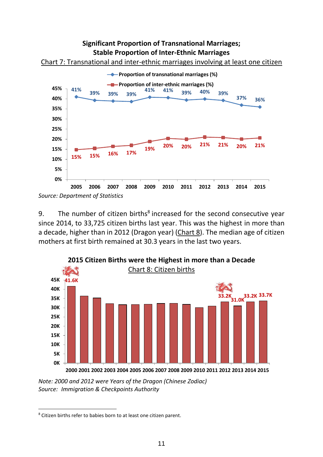#### **Significant Proportion of Transnational Marriages; Stable Proportion of Inter-Ethnic Marriages**





9. The number of citizen births $<sup>8</sup>$  increased for the second consecutive year</sup> since 2014, to 33,725 citizen births last year. This was the highest in more than a decade, higher than in 2012 (Dragon year) (Chart 8). The median age of citizen mothers at first birth remained at 30.3 years in the last two years.



*Note: 2000 and 2012 were Years of the Dragon (Chinese Zodiac) Source: Immigration & Checkpoints Authority* 

*Source: Department of Statistics* 

<sup>&</sup>lt;sup>8</sup> Citizen births refer to babies born to at least one citizen parent.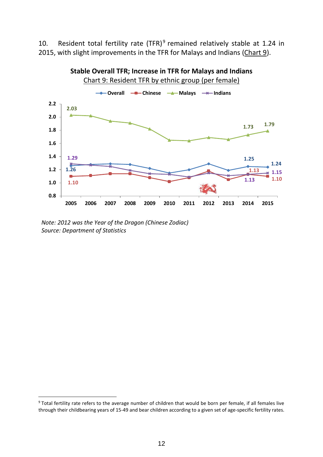10. Resident total fertility rate (TFR)<sup>9</sup> remained relatively stable at 1.24 in 2015, with slight improvements in the TFR for Malays and Indians (Chart 9).



*Note: 2012 was the Year of the Dragon (Chinese Zodiac)*

*Source: Department of Statistics*

<sup>&</sup>lt;sup>9</sup> Total fertility rate refers to the average number of children that would be born per female, if all females live through their childbearing years of 15-49 and bear children according to a given set of age-specific fertility rates.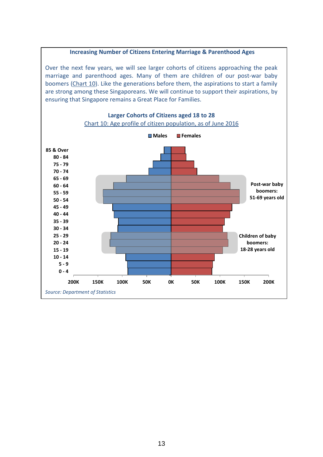#### **Increasing Number of Citizens Entering Marriage & Parenthood Ages**

Over the next few years, we will see larger cohorts of citizens approaching the peak marriage and parenthood ages. Many of them are children of our post-war baby boomers (Chart 10). Like the generations before them, the aspirations to start a family are strong among these Singaporeans. We will continue to support their aspirations, by ensuring that Singapore remains a Great Place for Families.

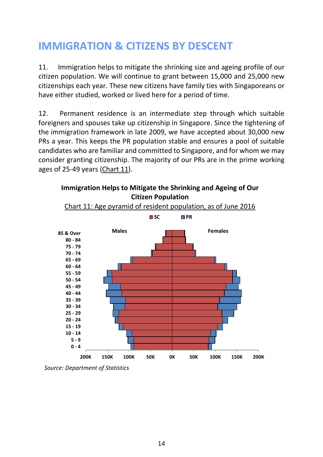# **IMMIGRATION & CITIZENS BY DESCENT**

11. Immigration helps to mitigate the shrinking size and ageing profile of our citizen population. We will continue to grant between 15,000 and 25,000 new citizenships each year. These new citizens have family ties with Singaporeans or have either studied, worked or lived here for a period of time.

12. Permanent residence is an intermediate step through which suitable foreigners and spouses take up citizenship in Singapore. Since the tightening of the immigration framework in late 2009, we have accepted about 30,000 new PRs a year. This keeps the PR population stable and ensures a pool of suitable candidates who are familiar and committed to Singapore, and for whom we may consider granting citizenship. The majority of our PRs are in the prime working ages of 25-49 years (Chart 11).





*Source: Department of Statistics*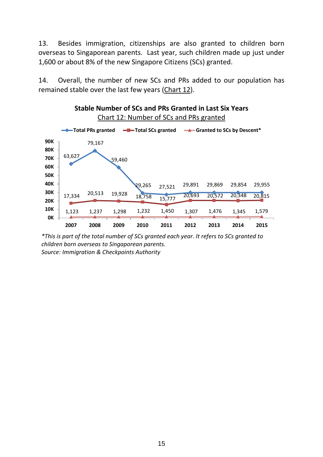13. Besides immigration, citizenships are also granted to children born overseas to Singaporean parents. Last year, such children made up just under 1,600 or about 8% of the new Singapore Citizens (SCs) granted.

14. Overall, the number of new SCs and PRs added to our population has remained stable over the last few years (Chart 12).



*\*This is part of the total number of SCs granted each year. It refers to SCs granted to children born overseas to Singaporean parents. Source: Immigration & Checkpoints Authority*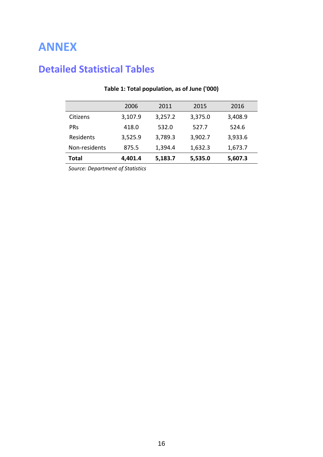# **ANNEX**

### **Detailed Statistical Tables**

|               | 2006    | 2011    | 2015    | 2016    |
|---------------|---------|---------|---------|---------|
| Citizens      | 3,107.9 | 3,257.2 | 3,375.0 | 3,408.9 |
| <b>PRs</b>    | 418.0   | 532.0   | 527.7   | 524.6   |
| Residents     | 3,525.9 | 3,789.3 | 3,902.7 | 3,933.6 |
| Non-residents | 875.5   | 1,394.4 | 1,632.3 | 1,673.7 |
| Total         | 4,401.4 | 5,183.7 | 5,535.0 | 5,607.3 |

#### **Table 1: Total population, as of June ('000)**

*Source: Department of Statistics*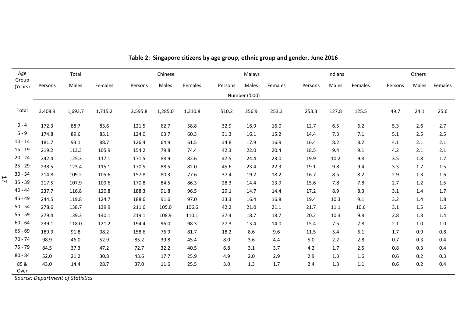| Age              |         | Total   |         |         | Chinese |         |         | Malays        |         |         | Indians |         |         | Others |         |
|------------------|---------|---------|---------|---------|---------|---------|---------|---------------|---------|---------|---------|---------|---------|--------|---------|
| Group<br>(Years) | Persons | Males   | Females | Persons | Males   | Females | Persons | Males         | Females | Persons | Males   | Females | Persons | Males  | Females |
|                  |         |         |         |         |         |         |         | Number ('000) |         |         |         |         |         |        |         |
| Total            | 3,408.9 | 1,693.7 | 1,715.2 | 2,595.8 | 1,285.0 | 1,310.8 | 510.2   | 256.9         | 253.3   | 253.3   | 127.8   | 125.5   | 49.7    | 24.1   | 25.6    |
| $0 - 4$          | 172.3   | 88.7    | 83.6    | 121.5   | 62.7    | 58.8    | 32.9    | 16.9          | 16.0    | 12.7    | 6.5     | 6.2     | 5.3     | 2.6    | 2.7     |
| $5 - 9$          | 174.8   | 89.6    | 85.1    | 124.0   | 63.7    | 60.3    | 31.3    | 16.1          | 15.2    | 14.4    | 7.3     | 7.1     | 5.1     | 2.5    | 2.5     |
| $10 - 14$        | 181.7   | 93.1    | 88.7    | 126.4   | 64.9    | 61.5    | 34.8    | 17.9          | 16.9    | 16.4    | 8.2     | 8.2     | 4.1     | 2.1    | 2.1     |
| $15 - 19$        | 219.2   | 113.3   | 105.9   | 154.2   | 79.8    | 74.4    | 42.3    | 22.0          | 20.4    | 18.5    | 9.4     | 9.1     | 4.2     | 2.1    | 2.1     |
| $20 - 24$        | 242.4   | 125.3   | 117.1   | 171.5   | 88.9    | 82.6    | 47.5    | 24.4          | 23.0    | 19.9    | 10.2    | 9.8     | 3.5     | 1.8    | 1.7     |
| $25 - 29$        | 238.5   | 123.4   | 115.1   | 170.5   | 88.5    | 82.0    | 45.6    | 23.4          | 22.3    | 19.1    | 9.8     | 9.4     | 3.3     | 1.7    | 1.5     |
| $30 - 34$        | 214.8   | 109.2   | 105.6   | 157.8   | 80.3    | 77.6    | 37.4    | 19.2          | 18.2    | 16.7    | 8.5     | 8.2     | 2.9     | 1.3    | 1.6     |
| $35 - 39$        | 217.5   | 107.9   | 109.6   | 170.8   | 84.5    | 86.3    | 28.3    | 14.4          | 13.9    | 15.6    | 7.8     | 7.8     | 2.7     | 1.2    | 1.5     |
| $40 - 44$        | 237.7   | 116.8   | 120.8   | 188.3   | 91.8    | 96.5    | 29.1    | 14.7          | 14.4    | 17.2    | 8.9     | 8.3     | 3.1     | 1.4    | 1.7     |
| 45 - 49          | 244.5   | 119.8   | 124.7   | 188.6   | 91.6    | 97.0    | 33.3    | 16.4          | 16.8    | 19.4    | 10.3    | 9.1     | 3.2     | 1.4    | 1.8     |
| $50 - 54$        | 278.6   | 138.7   | 139.9   | 211.6   | 105.0   | 106.6   | 42.2    | 21.0          | 21.1    | 21.7    | 11.1    | 10.6    | 3.1     | 1.5    | 1.6     |
| $55 - 59$        | 279.4   | 139.3   | 140.1   | 219.1   | 108.9   | 110.1   | 37.4    | 18.7          | 18.7    | 20.2    | 10.3    | 9.8     | 2.8     | 1.3    | 1.4     |
| $60 - 64$        | 239.1   | 118.0   | 121.2   | 194.4   | 96.0    | 98.3    | 27.3    | 13.4          | 14.0    | 15.4    | 7.5     | 7.8     | 2.1     | 1.0    | 1.0     |
| $65 - 69$        | 189.9   | 91.8    | 98.2    | 158.6   | 76.9    | 81.7    | 18.2    | 8.6           | 9.6     | 11.5    | 5.4     | 6.1     | 1.7     | 0.9    | 0.8     |
| $70 - 74$        | 98.9    | 46.0    | 52.9    | 85.2    | 39.8    | 45.4    | 8.0     | 3.6           | 4.4     | 5.0     | 2.2     | 2.8     | 0.7     | 0.3    | 0.4     |
| $75 - 79$        | 84.5    | 37.3    | 47.2    | 72.7    | 32.2    | 40.5    | 6.8     | 3.1           | 3.7     | 4.2     | 1.7     | 2.5     | 0.8     | 0.3    | 0.4     |
| $80 - 84$        | 52.0    | 21.2    | 30.8    | 43.6    | 17.7    | 25.9    | 4.9     | 2.0           | 2.9     | 2.9     | 1.3     | 1.6     | 0.6     | 0.2    | 0.3     |
| 85 &<br>Over     | 43.0    | 14.4    | 28.7    | 37.0    | 11.6    | 25.5    | 3.0     | 1.3           | 1.7     | 2.4     | 1.3     | 1.1     | 0.6     | 0.2    | 0.4     |

#### **Table 2: Singapore citizens by age group, ethnic group and gender, June 2016**

*Source: Department of Statistics*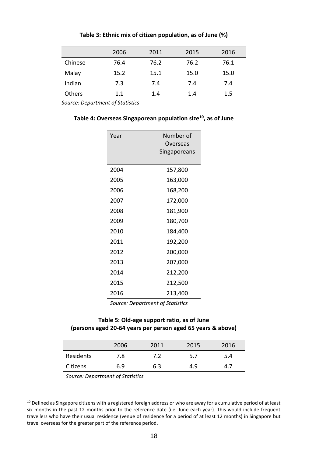|         | 2006 | 2011 | 2015 | 2016    |
|---------|------|------|------|---------|
| Chinese | 76.4 | 76.2 | 76.2 | 76.1    |
| Malay   | 15.2 | 15.1 | 15.0 | 15.0    |
| Indian  | 7.3  | 7.4  | 7.4  | 7.4     |
| Others  | 1.1  | 1.4  | 1.4  | $1.5\,$ |

#### **Table 3: Ethnic mix of citizen population, as of June (%)**

*Source: Department of Statistics* 

#### **Table 4: Overseas Singaporean population size<sup>10</sup>, as of June**

| Year | Number of<br>Overseas<br>Singaporeans |  |  |  |  |  |
|------|---------------------------------------|--|--|--|--|--|
| 2004 | 157,800                               |  |  |  |  |  |
| 2005 | 163,000                               |  |  |  |  |  |
| 2006 | 168,200                               |  |  |  |  |  |
| 2007 | 172,000                               |  |  |  |  |  |
| 2008 | 181,900                               |  |  |  |  |  |
| 2009 | 180,700                               |  |  |  |  |  |
| 2010 | 184,400                               |  |  |  |  |  |
| 2011 | 192,200                               |  |  |  |  |  |
| 2012 | 200,000                               |  |  |  |  |  |
| 2013 | 207,000                               |  |  |  |  |  |
| 2014 | 212,200                               |  |  |  |  |  |
| 2015 | 212,500                               |  |  |  |  |  |
| 2016 | 213,400                               |  |  |  |  |  |

*Source: Department of Statistics*

#### **Table 5: Old-age support ratio, as of June (persons aged 20-64 years per person aged 65 years & above)**

|           | 2006 | 2011 | 2015 | 2016 |
|-----------|------|------|------|------|
| Residents | 7.8  | 7.2  | 5.7  | 5.4  |
| Citizens  | 6.9  | 6.3  | 4.9  | 4.7  |

*Source: Department of Statistics*

l

<sup>&</sup>lt;sup>10</sup> Defined as Singapore citizens with a registered foreign address or who are away for a cumulative period of at least six months in the past 12 months prior to the reference date (i.e. June each year). This would include frequent travellers who have their usual residence (venue of residence for a period of at least 12 months) in Singapore but travel overseas for the greater part of the reference period.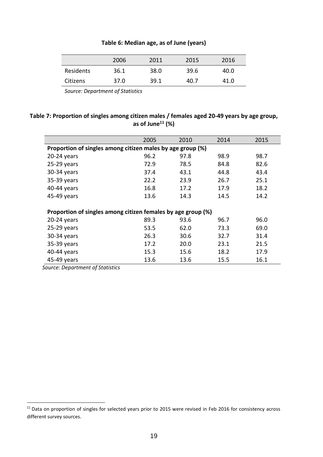#### **Table 6: Median age, as of June (years)**

|           | 2006 | 2011 | 2015 | 2016 |
|-----------|------|------|------|------|
| Residents | 36.1 | 38.0 | 39.6 | 40.0 |
| Citizens  | 37.0 | 39.1 | 40.7 | 41.0 |

*Source: Department of Statistics*

#### **Table 7: Proportion of singles among citizen males / females aged 20-49 years by age group, as of June<sup>11</sup> (%)**

|                                                              | 2005 | 2010 | 2014 | 2015 |  |  |  |  |  |
|--------------------------------------------------------------|------|------|------|------|--|--|--|--|--|
| Proportion of singles among citizen males by age group (%)   |      |      |      |      |  |  |  |  |  |
| $20-24$ years                                                | 96.2 | 97.8 | 98.9 | 98.7 |  |  |  |  |  |
| $25-29$ years                                                | 72.9 | 78.5 | 84.8 | 82.6 |  |  |  |  |  |
| 30-34 years                                                  | 37.4 | 43.1 | 44.8 | 43.4 |  |  |  |  |  |
| 35-39 years                                                  | 22.2 | 23.9 | 26.7 | 25.1 |  |  |  |  |  |
| 40-44 years                                                  | 16.8 | 17.2 | 17.9 | 18.2 |  |  |  |  |  |
| 45-49 years                                                  | 13.6 | 14.3 | 14.5 | 14.2 |  |  |  |  |  |
|                                                              |      |      |      |      |  |  |  |  |  |
| Proportion of singles among citizen females by age group (%) |      |      |      |      |  |  |  |  |  |
| $20-24$ years                                                | 89.3 | 93.6 | 96.7 | 96.0 |  |  |  |  |  |
| $25-29$ years                                                | 53.5 | 62.0 | 73.3 | 69.0 |  |  |  |  |  |
| 30-34 years                                                  | 26.3 | 30.6 | 32.7 | 31.4 |  |  |  |  |  |
| 35-39 years                                                  | 17.2 | 20.0 | 23.1 | 21.5 |  |  |  |  |  |
| 40-44 years                                                  | 15.3 | 15.6 | 18.2 | 17.9 |  |  |  |  |  |
| 45-49 years                                                  | 13.6 | 13.6 | 15.5 | 16.1 |  |  |  |  |  |

*Source: Department of Statistics* 

<sup>&</sup>lt;sup>11</sup> Data on proportion of singles for selected years prior to 2015 were revised in Feb 2016 for consistency across different survey sources.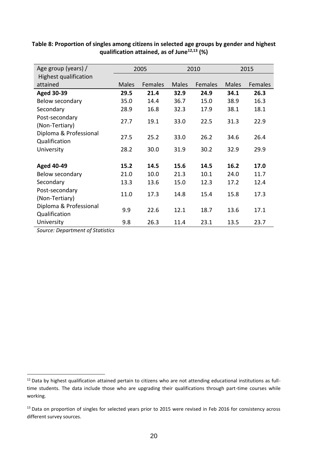| Age group (years) /                     |              | 2005    |              | 2010    | 2015         |         |
|-----------------------------------------|--------------|---------|--------------|---------|--------------|---------|
| <b>Highest qualification</b>            |              |         |              |         |              |         |
| attained                                | <b>Males</b> | Females | <b>Males</b> | Females | <b>Males</b> | Females |
| <b>Aged 30-39</b>                       | 29.5         | 21.4    | 32.9         | 24.9    | 34.1         | 26.3    |
| Below secondary                         | 35.0         | 14.4    | 36.7         | 15.0    | 38.9         | 16.3    |
| Secondary                               | 28.9         | 16.8    | 32.3         | 17.9    | 38.1         | 18.1    |
| Post-secondary<br>(Non-Tertiary)        | 27.7         | 19.1    | 33.0         | 22.5    | 31.3         | 22.9    |
| Diploma & Professional<br>Qualification | 27.5         | 25.2    | 33.0         | 26.2    | 34.6         | 26.4    |
| University                              | 28.2         | 30.0    | 31.9         | 30.2    | 32.9         | 29.9    |
| <b>Aged 40-49</b>                       | 15.2         | 14.5    | 15.6         | 14.5    | 16.2         | 17.0    |
| Below secondary                         | 21.0         | 10.0    | 21.3         | 10.1    | 24.0         | 11.7    |
| Secondary                               | 13.3         | 13.6    | 15.0         | 12.3    | 17.2         | 12.4    |
| Post-secondary<br>(Non-Tertiary)        | 11.0         | 17.3    | 14.8         | 15.4    | 15.8         | 17.3    |
| Diploma & Professional<br>Qualification | 9.9          | 22.6    | 12.1         | 18.7    | 13.6         | 17.1    |
| University                              | 9.8          | 26.3    | 11.4         | 23.1    | 13.5         | 23.7    |

**Table 8: Proportion of singles among citizens in selected age groups by gender and highest qualification attained, as of June12,13 (%)** 

*Source: Department of Statistics*

l

<sup>&</sup>lt;sup>12</sup> Data by highest qualification attained pertain to citizens who are not attending educational institutions as fulltime students. The data include those who are upgrading their qualifications through part-time courses while working.

<sup>&</sup>lt;sup>13</sup> Data on proportion of singles for selected years prior to 2015 were revised in Feb 2016 for consistency across different survey sources.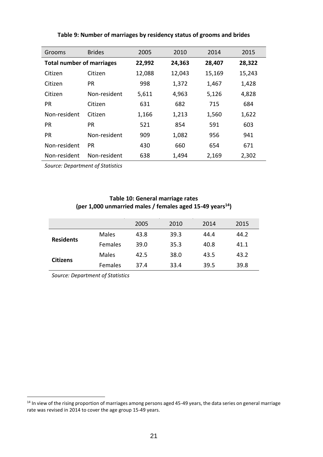| Grooms                           | <b>Brides</b> | 2005   | 2010   | 2014   | 2015   |
|----------------------------------|---------------|--------|--------|--------|--------|
| <b>Total number of marriages</b> |               | 22,992 | 24,363 | 28,407 | 28,322 |
| Citizen                          | Citizen       | 12,088 | 12,043 | 15,169 | 15,243 |
| Citizen                          | <b>PR</b>     | 998    | 1,372  | 1,467  | 1,428  |
| Citizen                          | Non-resident  | 5,611  | 4,963  | 5,126  | 4,828  |
| <b>PR</b>                        | Citizen       | 631    | 682    | 715    | 684    |
| Non-resident                     | Citizen       | 1,166  | 1,213  | 1,560  | 1,622  |
| <b>PR</b>                        | <b>PR</b>     | 521    | 854    | 591    | 603    |
| <b>PR</b>                        | Non-resident  | 909    | 1,082  | 956    | 941    |
| Non-resident                     | <b>PR</b>     | 430    | 660    | 654    | 671    |
| Non-resident                     | Non-resident  | 638    | 1,494  | 2,169  | 2,302  |

#### **Table 9: Number of marriages by residency status of grooms and brides**

*Source: Department of Statistics*

#### **Table 10: General marriage rates (per 1,000 unmarried males / females aged 15-49 years<sup>14</sup>)**

|                  |                | 2005 | 2010 | 2014 | 2015 |
|------------------|----------------|------|------|------|------|
| <b>Residents</b> | Males          | 43.8 | 39.3 | 44.4 | 44.2 |
|                  | <b>Females</b> | 39.0 | 35.3 | 40.8 | 41.1 |
|                  | <b>Males</b>   | 42.5 | 38.0 | 43.5 | 43.2 |
| <b>Citizens</b>  | Females        | 37.4 | 33.4 | 39.5 | 39.8 |

*Source: Department of Statistics*

l

<sup>&</sup>lt;sup>14</sup> In view of the rising proportion of marriages among persons aged 45-49 years, the data series on general marriage rate was revised in 2014 to cover the age group 15-49 years.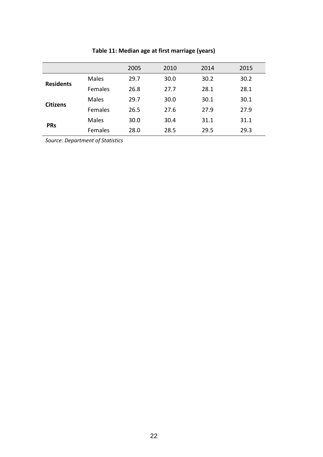|                  |                | 2005 | 2010 | 2014 | 2015 |
|------------------|----------------|------|------|------|------|
| <b>Residents</b> | <b>Males</b>   | 29.7 | 30.0 | 30.2 | 30.2 |
|                  | <b>Females</b> | 26.8 | 27.7 | 28.1 | 28.1 |
|                  | <b>Males</b>   | 29.7 | 30.0 | 30.1 | 30.1 |
| <b>Citizens</b>  | <b>Females</b> | 26.5 | 27.6 | 27.9 | 27.9 |
|                  | <b>Males</b>   | 30.0 | 30.4 | 31.1 | 31.1 |
| <b>PRs</b>       | Females        | 28.0 | 28.5 | 29.5 | 29.3 |

#### **Table 11: Median age at first marriage (years)**

*Source: Department of Statistics*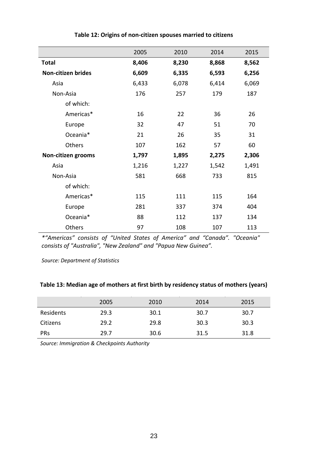|                    | 2005  | 2010  | 2014  | 2015  |
|--------------------|-------|-------|-------|-------|
| <b>Total</b>       | 8,406 | 8,230 | 8,868 | 8,562 |
| Non-citizen brides | 6,609 | 6,335 | 6,593 | 6,256 |
| Asia               | 6,433 | 6,078 | 6,414 | 6,069 |
| Non-Asia           | 176   | 257   | 179   | 187   |
| of which:          |       |       |       |       |
| Americas*          | 16    | 22    | 36    | 26    |
| Europe             | 32    | 47    | 51    | 70    |
| Oceania*           | 21    | 26    | 35    | 31    |
| Others             | 107   | 162   | 57    | 60    |
| Non-citizen grooms | 1,797 | 1,895 | 2,275 | 2,306 |
| Asia               | 1,216 | 1,227 | 1,542 | 1,491 |
| Non-Asia           | 581   | 668   | 733   | 815   |
| of which:          |       |       |       |       |
| Americas*          | 115   | 111   | 115   | 164   |
| Europe             | 281   | 337   | 374   | 404   |
| Oceania*           | 88    | 112   | 137   | 134   |
| Others             | 97    | 108   | 107   | 113   |

#### **Table 12: Origins of non-citizen spouses married to citizens**

*\*"Americas" consists of "United States of America" and "Canada". "Oceania" consists of "Australia", "New Zealand" and "Papua New Guinea".*

*Source: Department of Statistics*

#### **Table 13: Median age of mothers at first birth by residency status of mothers (years)**

|            | 2005 | 2010 | 2014 | 2015 |
|------------|------|------|------|------|
| Residents  | 29.3 | 30.1 | 30.7 | 30.7 |
| Citizens   | 29.2 | 29.8 | 30.3 | 30.3 |
| <b>PRs</b> | 29.7 | 30.6 | 31.5 | 31.8 |

*Source: Immigration & Checkpoints Authority*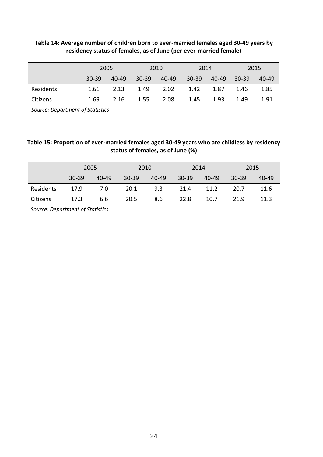|           | 2005  |       |           | 2010    | 2014    |        | 2015    |       |
|-----------|-------|-------|-----------|---------|---------|--------|---------|-------|
|           | 30-39 | 40-49 | $30 - 39$ | - 40-49 | $30-39$ | -40-49 | $30-39$ | 40-49 |
| Residents | 1.61  | 2.13  | 1.49      | 2.02    | 1.42    | 1.87   | 1.46    | 1.85  |
| Citizens  | 1.69  | 2.16  | 1.55      | 2.08    | 1.45    | 1.93   | 1.49    | 1.91  |

#### **Table 14: Average number of children born to ever-married females aged 30-49 years by residency status of females, as of June (per ever-married female)**

*Source: Department of Statistics*

#### **Table 15: Proportion of ever-married females aged 30-49 years who are childless by residency status of females, as of June (%)**

|           |           | 2005      |           | 2010      |           | 2014  |           | 2015  |
|-----------|-----------|-----------|-----------|-----------|-----------|-------|-----------|-------|
|           | $30 - 39$ | $40 - 49$ | $30 - 39$ | $40 - 49$ | $30 - 39$ | 40-49 | $30 - 39$ | 40-49 |
| Residents | 17.9      | 7.0       | 20.1      | 9.3       | 21.4      | 11.2  | 20.7      | 11.6  |
| Citizens  | 17.3      | 6.6       | 20.5      | 8.6       | 22.8      | 10.7  | 21.9      | 11.3  |

*Source: Department of Statistics*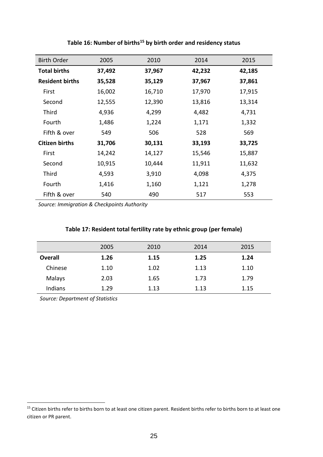| <b>Birth Order</b>     | 2005   | 2010   | 2014   | 2015   |
|------------------------|--------|--------|--------|--------|
| <b>Total births</b>    | 37,492 | 37,967 | 42,232 | 42,185 |
| <b>Resident births</b> | 35,528 | 35,129 | 37,967 | 37,861 |
| First                  | 16,002 | 16,710 | 17,970 | 17,915 |
| Second                 | 12,555 | 12,390 | 13,816 | 13,314 |
| Third                  | 4,936  | 4,299  | 4,482  | 4,731  |
| Fourth                 | 1,486  | 1,224  | 1,171  | 1,332  |
| Fifth & over           | 549    | 506    | 528    | 569    |
| <b>Citizen births</b>  | 31,706 | 30,131 | 33,193 | 33,725 |
| First                  | 14,242 | 14,127 | 15,546 | 15,887 |
| Second                 | 10,915 | 10,444 | 11,911 | 11,632 |
| Third                  | 4,593  | 3,910  | 4,098  | 4,375  |
| Fourth                 | 1,416  | 1,160  | 1,121  | 1,278  |
| Fifth & over           | 540    | 490    | 517    | 553    |

#### **Table 16: Number of births<sup>15</sup> by birth order and residency status**

*Source: Immigration & Checkpoints Authority*

#### **Table 17: Resident total fertility rate by ethnic group (per female)**

|         | 2005 | 2010 | 2014 | 2015 |
|---------|------|------|------|------|
| Overall | 1.26 | 1.15 | 1.25 | 1.24 |
| Chinese | 1.10 | 1.02 | 1.13 | 1.10 |
| Malays  | 2.03 | 1.65 | 1.73 | 1.79 |
| Indians | 1.29 | 1.13 | 1.13 | 1.15 |

*Source: Department of Statistics*

<sup>&</sup>lt;sup>15</sup> Citizen births refer to births born to at least one citizen parent. Resident births refer to births born to at least one citizen or PR parent.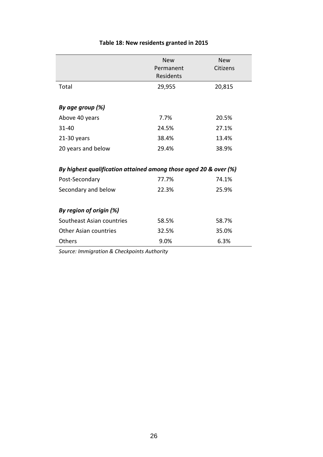|                                                                  | <b>New</b><br>Permanent<br>Residents | <b>New</b><br>Citizens |
|------------------------------------------------------------------|--------------------------------------|------------------------|
| Total                                                            | 29,955                               | 20,815                 |
| By age group (%)                                                 |                                      |                        |
| Above 40 years                                                   | 7.7%                                 | 20.5%                  |
| $31 - 40$                                                        | 24.5%                                | 27.1%                  |
| $21-30$ years                                                    | 38.4%                                | 13.4%                  |
| 20 years and below                                               | 29.4%                                | 38.9%                  |
| By highest qualification attained among those aged 20 & over (%) |                                      |                        |
| Post-Secondary                                                   | 77.7%                                | 74.1%                  |
| Secondary and below                                              | 22.3%                                | 25.9%                  |
| By region of origin (%)                                          |                                      |                        |
| Southeast Asian countries                                        | 58.5%                                | 58.7%                  |
| <b>Other Asian countries</b>                                     | 32.5%                                | 35.0%                  |
| Others                                                           | 9.0%                                 | 6.3%                   |

#### **Table 18: New residents granted in 2015**

*Source: Immigration & Checkpoints Authority*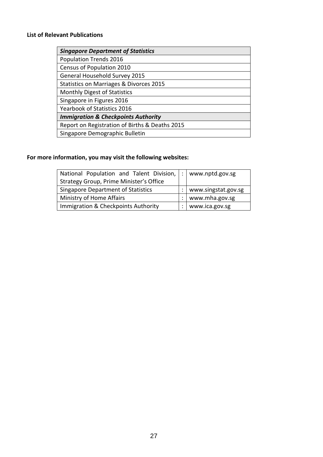#### **List of Relevant Publications**

| <b>Singapore Department of Statistics</b>      |
|------------------------------------------------|
| Population Trends 2016                         |
| Census of Population 2010                      |
| General Household Survey 2015                  |
| Statistics on Marriages & Divorces 2015        |
| <b>Monthly Digest of Statistics</b>            |
| Singapore in Figures 2016                      |
| Yearbook of Statistics 2016                    |
| <b>Immigration &amp; Checkpoints Authority</b> |
| Report on Registration of Births & Deaths 2015 |
| Singapore Demographic Bulletin                 |

#### **For more information, you may visit the following websites:**

| National Population and Talent Division,  : | www.nptd.gov.sg     |
|---------------------------------------------|---------------------|
| Strategy Group, Prime Minister's Office     |                     |
| <b>Singapore Department of Statistics</b>   | www.singstat.gov.sg |
| Ministry of Home Affairs                    | www.mha.gov.sg      |
| Immigration & Checkpoints Authority         | www.ica.gov.sg      |